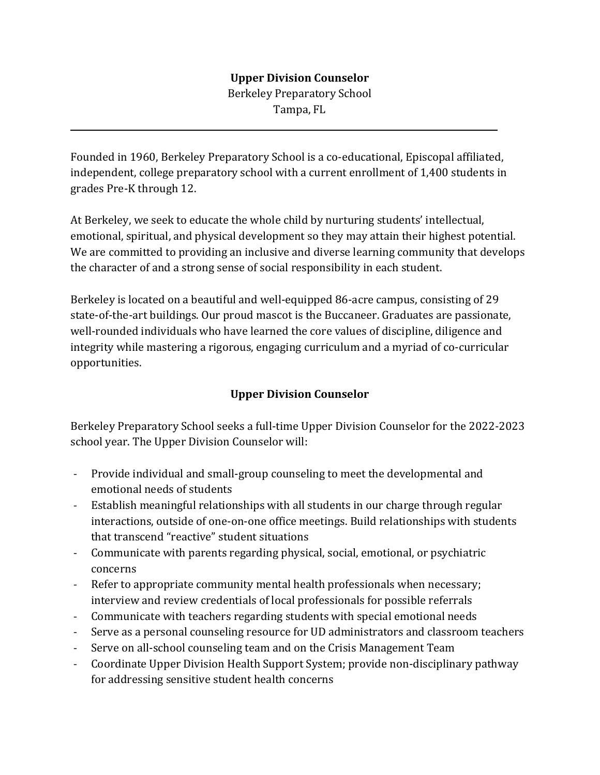## **Upper Division Counselor**

Berkeley Preparatory School Tampa, FL

Founded in 1960, Berkeley Preparatory School is a co-educational, Episcopal affiliated, independent, college preparatory school with a current enrollment of 1,400 students in grades Pre-K through 12.

 $\overline{a}$ 

At Berkeley, we seek to educate the whole child by nurturing students' intellectual, emotional, spiritual, and physical development so they may attain their highest potential. We are committed to providing an inclusive and diverse learning community that develops the character of and a strong sense of social responsibility in each student.

Berkeley is located on a beautiful and well-equipped 86-acre campus, consisting of 29 state-of-the-art buildings. Our proud mascot is the Buccaneer. Graduates are passionate, well-rounded individuals who have learned the core values of discipline, diligence and integrity while mastering a rigorous, engaging curriculum and a myriad of co-curricular opportunities.

## **Upper Division Counselor**

Berkeley Preparatory School seeks a full-time Upper Division Counselor for the 2022-2023 school year. The Upper Division Counselor will:

- Provide individual and small-group counseling to meet the developmental and emotional needs of students
- Establish meaningful relationships with all students in our charge through regular interactions, outside of one-on-one office meetings. Build relationships with students that transcend "reactive" student situations
- Communicate with parents regarding physical, social, emotional, or psychiatric concerns
- Refer to appropriate community mental health professionals when necessary; interview and review credentials of local professionals for possible referrals
- Communicate with teachers regarding students with special emotional needs
- Serve as a personal counseling resource for UD administrators and classroom teachers
- Serve on all-school counseling team and on the Crisis Management Team
- Coordinate Upper Division Health Support System; provide non-disciplinary pathway for addressing sensitive student health concerns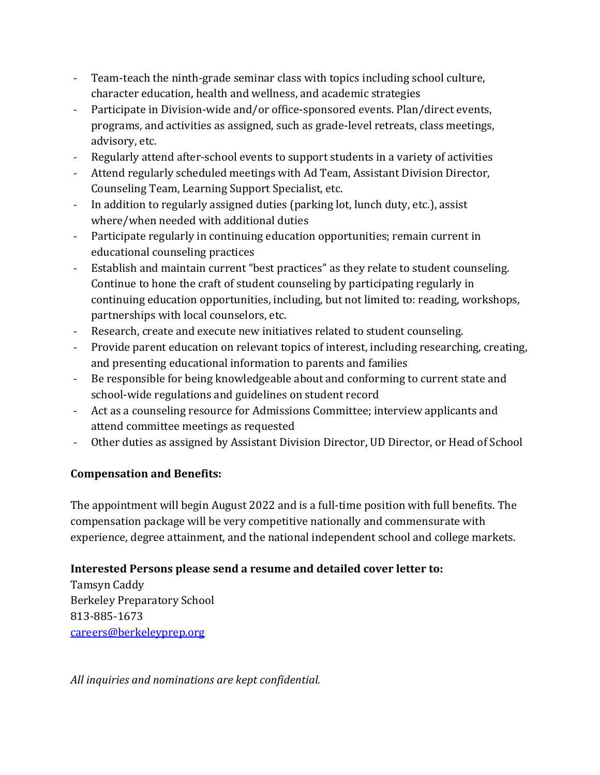- Team-teach the ninth-grade seminar class with topics including school culture, character education, health and wellness, and academic strategies
- Participate in Division-wide and/or office-sponsored events. Plan/direct events, programs, and activities as assigned, such as grade-level retreats, class meetings, advisory, etc.
- Regularly attend after-school events to support students in a variety of activities
- Attend regularly scheduled meetings with Ad Team, Assistant Division Director, Counseling Team, Learning Support Specialist, etc.
- In addition to regularly assigned duties (parking lot, lunch duty, etc.), assist where/when needed with additional duties
- Participate regularly in continuing education opportunities; remain current in educational counseling practices
- Establish and maintain current "best practices" as they relate to student counseling. Continue to hone the craft of student counseling by participating regularly in continuing education opportunities, including, but not limited to: reading, workshops, partnerships with local counselors, etc.
- Research, create and execute new initiatives related to student counseling.
- Provide parent education on relevant topics of interest, including researching, creating, and presenting educational information to parents and families
- Be responsible for being knowledgeable about and conforming to current state and school-wide regulations and guidelines on student record
- Act as a counseling resource for Admissions Committee; interview applicants and attend committee meetings as requested
- Other duties as assigned by Assistant Division Director, UD Director, or Head of School

## **Compensation and Benefits:**

The appointment will begin August 2022 and is a full-time position with full benefits. The compensation package will be very competitive nationally and commensurate with experience, degree attainment, and the national independent school and college markets.

## **Interested Persons please send a resume and detailed cover letter to:**

Tamsyn Caddy Berkeley Preparatory School 813-885-1673 [careers@berkeleyprep.org](mailto:careers@berkeleyprep.org)

*All inquiries and nominations are kept confidential.*